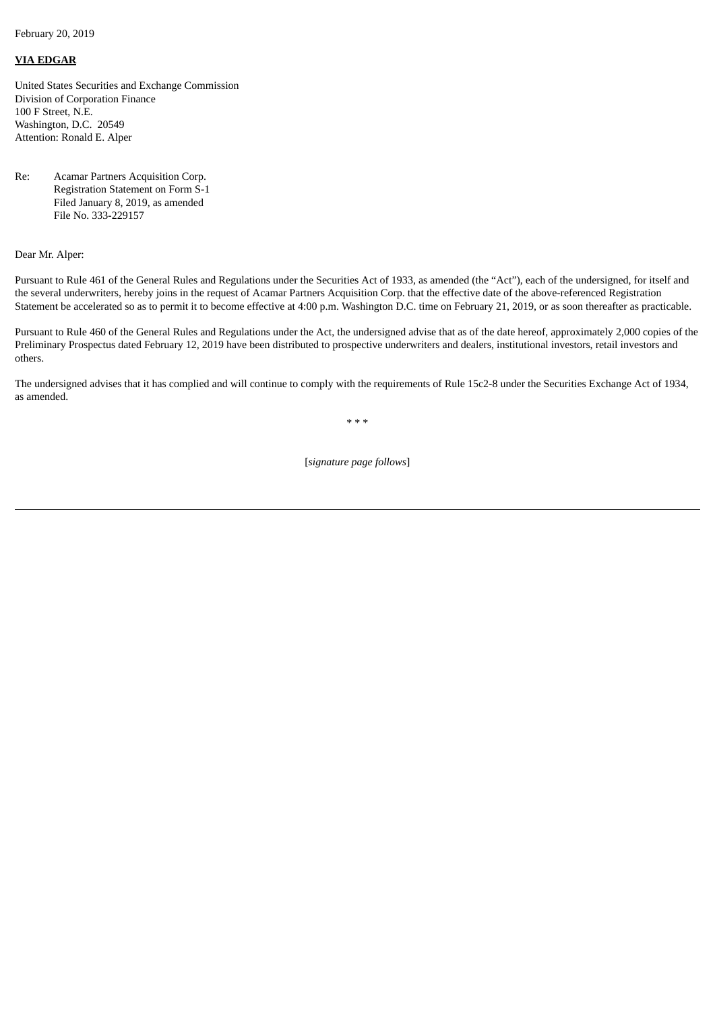February 20, 2019

## **VIA EDGAR**

United States Securities and Exchange Commission Division of Corporation Finance 100 F Street, N.E. Washington, D.C. 20549 Attention: Ronald E. Alper

Re: Acamar Partners Acquisition Corp. Registration Statement on Form S-1 Filed January 8, 2019, as amended File No. 333-229157

Dear Mr. Alper:

Pursuant to Rule 461 of the General Rules and Regulations under the Securities Act of 1933, as amended (the "Act"), each of the undersigned, for itself and the several underwriters, hereby joins in the request of Acamar Partners Acquisition Corp. that the effective date of the above-referenced Registration Statement be accelerated so as to permit it to become effective at 4:00 p.m. Washington D.C. time on February 21, 2019, or as soon thereafter as practicable.

Pursuant to Rule 460 of the General Rules and Regulations under the Act, the undersigned advise that as of the date hereof, approximately 2,000 copies of the Preliminary Prospectus dated February 12, 2019 have been distributed to prospective underwriters and dealers, institutional investors, retail investors and others.

The undersigned advises that it has complied and will continue to comply with the requirements of Rule 15c2-8 under the Securities Exchange Act of 1934, as amended.

\* \* \*

[*signature page follows*]